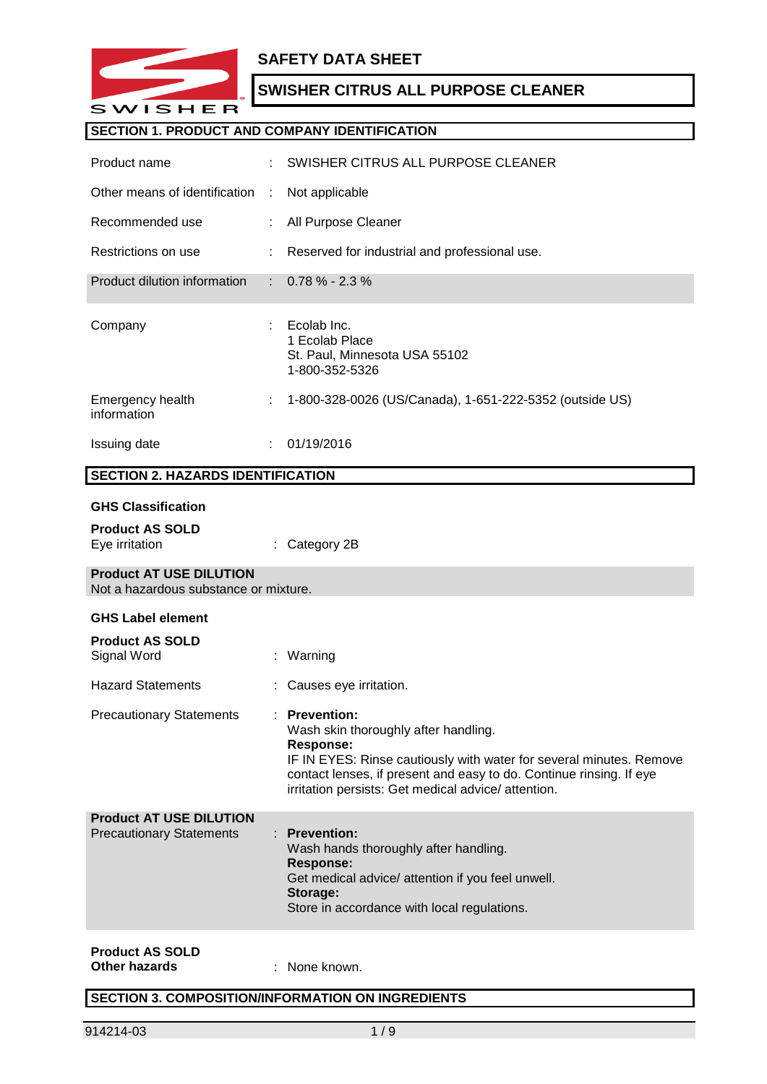

## **SAFETY DATA SHEET**

## **SWISHER CITRUS ALL PURPOSE CLEANER**

### **SECTION 1. PRODUCT AND COMPANY IDENTIFICATION**

| Product name                                                            |    | SWISHER CITRUS ALL PURPOSE CLEANER                                                                                                                                                                                                                                            |
|-------------------------------------------------------------------------|----|-------------------------------------------------------------------------------------------------------------------------------------------------------------------------------------------------------------------------------------------------------------------------------|
| Other means of identification                                           | ÷  | Not applicable                                                                                                                                                                                                                                                                |
| Recommended use                                                         |    | All Purpose Cleaner                                                                                                                                                                                                                                                           |
| Restrictions on use                                                     |    | Reserved for industrial and professional use.                                                                                                                                                                                                                                 |
| Product dilution information                                            |    | $0.78\% - 2.3\%$                                                                                                                                                                                                                                                              |
| Company                                                                 |    | Ecolab Inc.<br>1 Ecolab Place<br>St. Paul, Minnesota USA 55102<br>1-800-352-5326                                                                                                                                                                                              |
| Emergency health<br>information                                         | ÷  | 1-800-328-0026 (US/Canada), 1-651-222-5352 (outside US)                                                                                                                                                                                                                       |
| <b>Issuing date</b>                                                     | ÷. | 01/19/2016                                                                                                                                                                                                                                                                    |
| <b>SECTION 2. HAZARDS IDENTIFICATION</b>                                |    |                                                                                                                                                                                                                                                                               |
| <b>GHS Classification</b><br><b>Product AS SOLD</b>                     |    |                                                                                                                                                                                                                                                                               |
| Eye irritation                                                          |    | Category 2B                                                                                                                                                                                                                                                                   |
| <b>Product AT USE DILUTION</b><br>Not a hazardous substance or mixture. |    |                                                                                                                                                                                                                                                                               |
| <b>GHS Label element</b>                                                |    |                                                                                                                                                                                                                                                                               |
| <b>Product AS SOLD</b><br>Signal Word                                   | ÷. | Warning                                                                                                                                                                                                                                                                       |
| <b>Hazard Statements</b>                                                |    | Causes eye irritation.                                                                                                                                                                                                                                                        |
| <b>Precautionary Statements</b>                                         |    | : Prevention:<br>Wash skin thoroughly after handling.<br><b>Response:</b><br>IF IN EYES: Rinse cautiously with water for several minutes. Remove<br>contact lenses, if present and easy to do. Continue rinsing. If eye<br>irritation persists: Get medical advice/attention. |
| <b>Product AT USE DILUTION</b>                                          |    |                                                                                                                                                                                                                                                                               |
| <b>Precautionary Statements</b>                                         | t. | <b>Prevention:</b><br>Wash hands thoroughly after handling.<br><b>Response:</b><br>Get medical advice/ attention if you feel unwell.<br>Storage:<br>Store in accordance with local regulations.                                                                               |

#### **Product AS SOLD Other hazards** : None known.

## **SECTION 3. COMPOSITION/INFORMATION ON INGREDIENTS**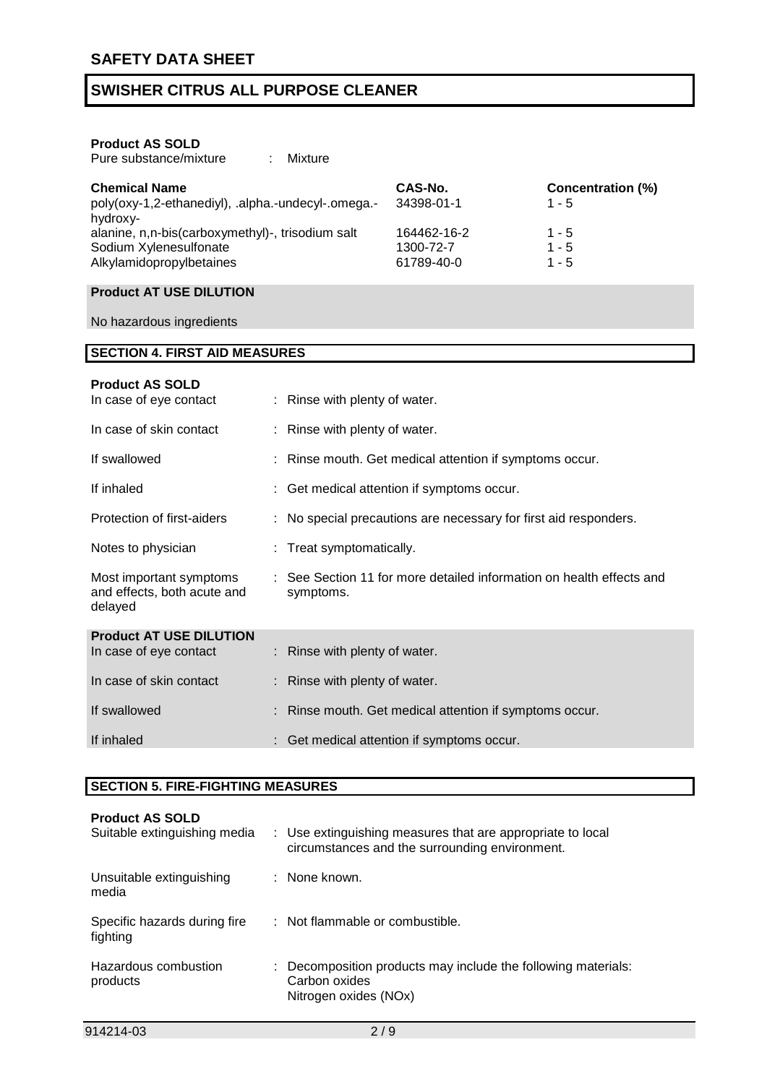### **Product AS SOLD**

Pure substance/mixture : Mixture

| <b>Chemical Name</b><br>poly(oxy-1,2-ethanediyl), .alpha.-undecyl-.omega.-<br>hydroxy- | CAS-No.<br>34398-01-1 | Concentration (%)<br>$1 - 5$ |
|----------------------------------------------------------------------------------------|-----------------------|------------------------------|
| alanine, n,n-bis(carboxymethyl)-, trisodium salt                                       | 164462-16-2           | $1 - 5$                      |
| Sodium Xylenesulfonate                                                                 | 1300-72-7             | $1 - 5$                      |
| Alkylamidopropylbetaines                                                               | 61789-40-0            | $1 - 5$                      |

### **Product AT USE DILUTION**

No hazardous ingredients

## **SECTION 4. FIRST AID MEASURES**

| : Rinse with plenty of water.                                                     |
|-----------------------------------------------------------------------------------|
| : Rinse with plenty of water.                                                     |
| : Rinse mouth. Get medical attention if symptoms occur.                           |
| : Get medical attention if symptoms occur.                                        |
| : No special precautions are necessary for first aid responders.                  |
| : Treat symptomatically.                                                          |
| : See Section 11 for more detailed information on health effects and<br>symptoms. |
| : Rinse with plenty of water.                                                     |
|                                                                                   |
| Rinse with plenty of water.                                                       |
| : Rinse mouth. Get medical attention if symptoms occur.                           |
| : Get medical attention if symptoms occur.                                        |
|                                                                                   |

### **SECTION 5. FIRE-FIGHTING MEASURES**

| <b>Product AS SOLD</b><br>Suitable extinguishing media | : Use extinguishing measures that are appropriate to local<br>circumstances and the surrounding environment. |
|--------------------------------------------------------|--------------------------------------------------------------------------------------------------------------|
| Unsuitable extinguishing<br>media                      | : None known.                                                                                                |
| Specific hazards during fire<br>fighting               | : Not flammable or combustible.                                                                              |
| Hazardous combustion<br>products                       | : Decomposition products may include the following materials:<br>Carbon oxides<br>Nitrogen oxides (NOx)      |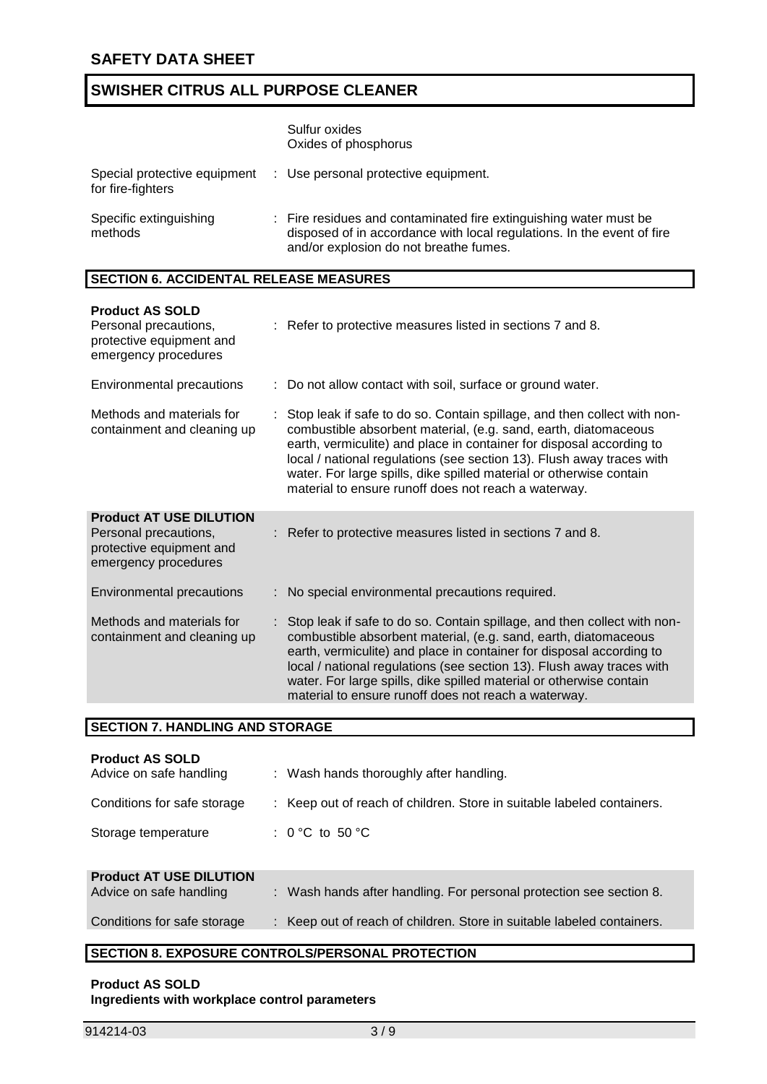|                                   | Sulfur oxides<br>Oxides of phosphorus                                                                                                                                                 |
|-----------------------------------|---------------------------------------------------------------------------------------------------------------------------------------------------------------------------------------|
| for fire-fighters                 | Special protective equipment : Use personal protective equipment.                                                                                                                     |
| Specific extinguishing<br>methods | : Fire residues and contaminated fire extinguishing water must be<br>disposed of in accordance with local regulations. In the event of fire<br>and/or explosion do not breathe fumes. |

### **SECTION 6. ACCIDENTAL RELEASE MEASURES**

| <b>Product AS SOLD</b><br>Personal precautions,<br>protective equipment and<br>emergency procedures         | : Refer to protective measures listed in sections 7 and 8.                                                                                                                                                                                                                                                                                                                                                                    |
|-------------------------------------------------------------------------------------------------------------|-------------------------------------------------------------------------------------------------------------------------------------------------------------------------------------------------------------------------------------------------------------------------------------------------------------------------------------------------------------------------------------------------------------------------------|
| <b>Environmental precautions</b>                                                                            | : Do not allow contact with soil, surface or ground water.                                                                                                                                                                                                                                                                                                                                                                    |
| Methods and materials for<br>containment and cleaning up                                                    | : Stop leak if safe to do so. Contain spillage, and then collect with non-<br>combustible absorbent material, (e.g. sand, earth, diatomaceous<br>earth, vermiculite) and place in container for disposal according to<br>local / national regulations (see section 13). Flush away traces with<br>water. For large spills, dike spilled material or otherwise contain<br>material to ensure runoff does not reach a waterway. |
| <b>Product AT USE DILUTION</b><br>Personal precautions,<br>protective equipment and<br>emergency procedures | : Refer to protective measures listed in sections 7 and 8.                                                                                                                                                                                                                                                                                                                                                                    |
| <b>Environmental precautions</b>                                                                            | : No special environmental precautions required.                                                                                                                                                                                                                                                                                                                                                                              |
| Methods and materials for<br>containment and cleaning up                                                    | : Stop leak if safe to do so. Contain spillage, and then collect with non-<br>combustible absorbent material, (e.g. sand, earth, diatomaceous<br>earth, vermiculite) and place in container for disposal according to<br>local / national regulations (see section 13). Flush away traces with<br>water. For large spills, dike spilled material or otherwise contain<br>material to ensure runoff does not reach a waterway. |

|  | <b>SECTION 7. HANDLING AND STORAGE</b> |  |
|--|----------------------------------------|--|
|  |                                        |  |

| <b>Product AS SOLD</b><br>Advice on safe handling         | : Wash hands thoroughly after handling.                                |
|-----------------------------------------------------------|------------------------------------------------------------------------|
| Conditions for safe storage                               | : Keep out of reach of children. Store in suitable labeled containers. |
| Storage temperature                                       | : $0^{\circ}$ C to 50 $^{\circ}$ C                                     |
| <b>Product AT USE DILUTION</b><br>Advice on safe handling | : Wash hands after handling. For personal protection see section 8.    |
| Conditions for safe storage                               | : Keep out of reach of children. Store in suitable labeled containers. |

## **SECTION 8. EXPOSURE CONTROLS/PERSONAL PROTECTION**

#### **Product AS SOLD Ingredients with workplace control parameters**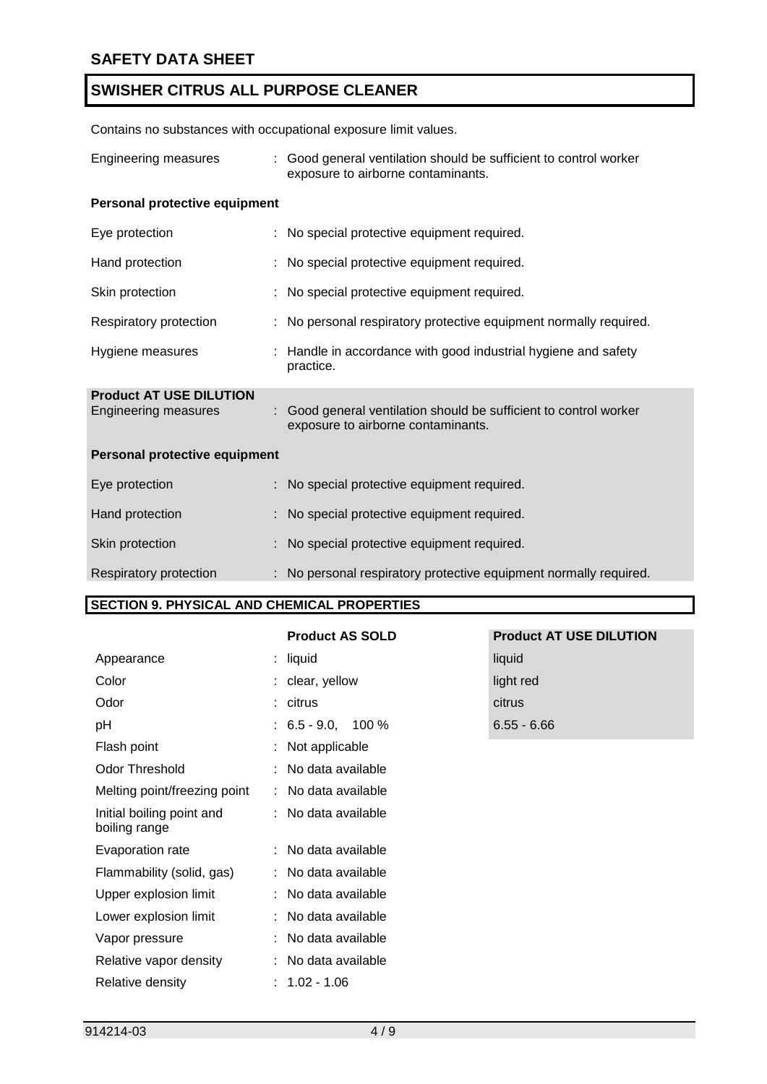Contains no substances with occupational exposure limit values.

| Engineering measures                                   | : Good general ventilation should be sufficient to control worker<br>exposure to airborne contaminants. |
|--------------------------------------------------------|---------------------------------------------------------------------------------------------------------|
| Personal protective equipment                          |                                                                                                         |
| Eye protection                                         | : No special protective equipment required.                                                             |
| Hand protection                                        | No special protective equipment required.                                                               |
| Skin protection                                        | : No special protective equipment required.                                                             |
| Respiratory protection                                 | : No personal respiratory protective equipment normally required.                                       |
| Hygiene measures                                       | : Handle in accordance with good industrial hygiene and safety<br>practice.                             |
| <b>Product AT USE DILUTION</b><br>Engineering measures | Good general ventilation should be sufficient to control worker<br>exposure to airborne contaminants.   |
| Personal protective equipment                          |                                                                                                         |
| Eye protection                                         | : No special protective equipment required.                                                             |
| Hand protection                                        | : No special protective equipment required.                                                             |
| Skin protection                                        | No special protective equipment required.                                                               |
| Respiratory protection                                 | : No personal respiratory protective equipment normally required.                                       |

### **SECTION 9. PHYSICAL AND CHEMICAL PROPERTIES**

|                                            | <b>Product AS SOLD</b> | <b>Product AT USE DILUTION</b> |
|--------------------------------------------|------------------------|--------------------------------|
| Appearance                                 | : liquid               | liquid                         |
| Color                                      | : clear, yellow        | light red                      |
| Odor                                       | : citrus               | citrus                         |
| рH                                         | $: 6.5 - 9.0, 100 \%$  | $6.55 - 6.66$                  |
| Flash point                                | : Not applicable       |                                |
| Odor Threshold                             | : No data available    |                                |
| Melting point/freezing point               | : No data available    |                                |
| Initial boiling point and<br>boiling range | : No data available    |                                |
| Evaporation rate                           | : No data available    |                                |
| Flammability (solid, gas)                  | : No data available    |                                |
| Upper explosion limit                      | : No data available    |                                |
| Lower explosion limit                      | : No data available    |                                |
| Vapor pressure                             | : No data available    |                                |
| Relative vapor density                     | : No data available    |                                |
| Relative density                           | $: 1.02 - 1.06$        |                                |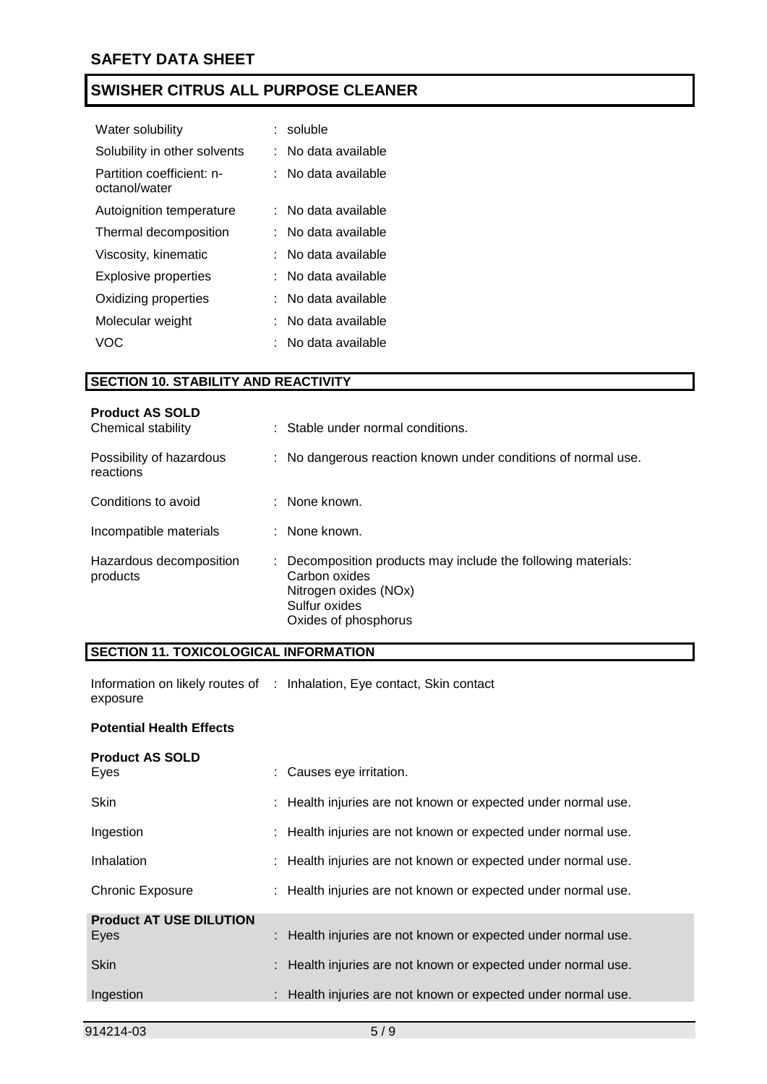| Water solubility                           | soluble           |
|--------------------------------------------|-------------------|
| Solubility in other solvents               | No data available |
| Partition coefficient: n-<br>octanol/water | No data available |
| Autoignition temperature                   | No data available |
| Thermal decomposition                      | No data available |
| Viscosity, kinematic                       | No data available |
| Explosive properties                       | No data available |
| Oxidizing properties                       | No data available |
| Molecular weight                           | No data available |
| VOC                                        | No data available |

### **SECTION 10. STABILITY AND REACTIVITY**

| <b>Product AS SOLD</b><br>Chemical stability | : Stable under normal conditions.                                                                                                                |
|----------------------------------------------|--------------------------------------------------------------------------------------------------------------------------------------------------|
| Possibility of hazardous<br>reactions        | : No dangerous reaction known under conditions of normal use.                                                                                    |
| Conditions to avoid                          | $\therefore$ None known.                                                                                                                         |
| Incompatible materials                       | : None known.                                                                                                                                    |
| Hazardous decomposition<br>products          | : Decomposition products may include the following materials:<br>Carbon oxides<br>Nitrogen oxides (NOx)<br>Sulfur oxides<br>Oxides of phosphorus |

### **SECTION 11. TOXICOLOGICAL INFORMATION**

Information on likely routes of : Inhalation, Eye contact, Skin contact exposure

### **Potential Health Effects**

| <b>Product AS SOLD</b>         |                                                               |
|--------------------------------|---------------------------------------------------------------|
| Eyes                           | : Causes eye irritation.                                      |
| <b>Skin</b>                    | : Health injuries are not known or expected under normal use. |
| Ingestion                      | : Health injuries are not known or expected under normal use. |
| Inhalation                     | : Health injuries are not known or expected under normal use. |
| <b>Chronic Exposure</b>        | : Health injuries are not known or expected under normal use. |
| <b>Product AT USE DILUTION</b> |                                                               |
| Eyes                           | : Health injuries are not known or expected under normal use. |
| <b>Skin</b>                    | : Health injuries are not known or expected under normal use. |
| Ingestion                      | : Health injuries are not known or expected under normal use. |
|                                |                                                               |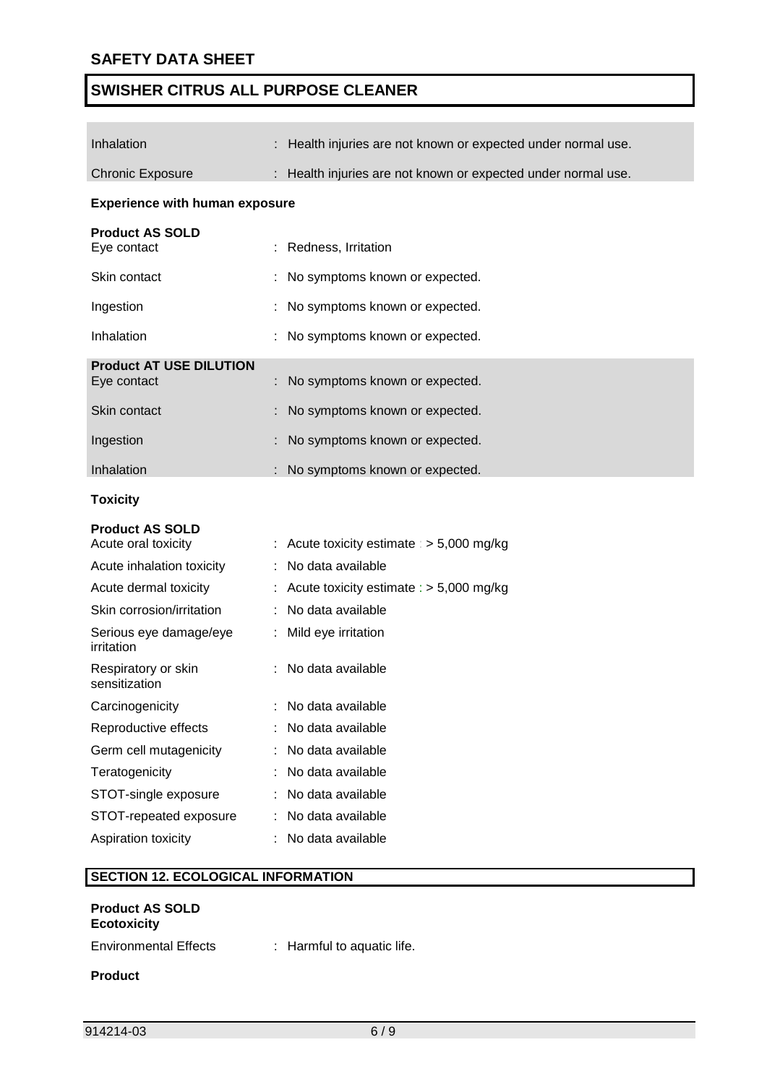| Inhalation                                    | Health injuries are not known or expected under normal use. |  |  |  |  |  |  |
|-----------------------------------------------|-------------------------------------------------------------|--|--|--|--|--|--|
| <b>Chronic Exposure</b>                       | Health injuries are not known or expected under normal use. |  |  |  |  |  |  |
| <b>Experience with human exposure</b>         |                                                             |  |  |  |  |  |  |
| <b>Product AS SOLD</b><br>Eye contact         | Redness, Irritation                                         |  |  |  |  |  |  |
| Skin contact                                  | No symptoms known or expected.                              |  |  |  |  |  |  |
| Ingestion                                     | No symptoms known or expected.                              |  |  |  |  |  |  |
| Inhalation                                    | No symptoms known or expected.                              |  |  |  |  |  |  |
| <b>Product AT USE DILUTION</b><br>Eye contact | No symptoms known or expected.                              |  |  |  |  |  |  |
| Skin contact                                  | No symptoms known or expected.                              |  |  |  |  |  |  |
| Ingestion                                     | No symptoms known or expected.                              |  |  |  |  |  |  |
| Inhalation                                    | No symptoms known or expected.                              |  |  |  |  |  |  |
| <b>Toxicity</b>                               |                                                             |  |  |  |  |  |  |
| <b>Product AS SOLD</b><br>Acute oral toxicity | Acute toxicity estimate : $> 5,000$ mg/kg                   |  |  |  |  |  |  |
| Acute inhalation toxicity                     | No data available                                           |  |  |  |  |  |  |
| Acute dermal toxicity                         | Acute toxicity estimate : $> 5,000$ mg/kg                   |  |  |  |  |  |  |
| Skin corrosion/irritation                     | No data available                                           |  |  |  |  |  |  |
| Serious eye damage/eye<br>irritation          | Mild eye irritation                                         |  |  |  |  |  |  |
| Respiratory or skin<br>sensitization          | No data available                                           |  |  |  |  |  |  |
| Carcinogenicity                               | No data available                                           |  |  |  |  |  |  |
| Reproductive effects                          | No data available                                           |  |  |  |  |  |  |
| Germ cell mutagenicity                        | No data available                                           |  |  |  |  |  |  |
| Teratogenicity                                | No data available                                           |  |  |  |  |  |  |
| STOT-single exposure                          | No data available                                           |  |  |  |  |  |  |
| STOT-repeated exposure                        | No data available                                           |  |  |  |  |  |  |
| Aspiration toxicity                           | No data available                                           |  |  |  |  |  |  |
|                                               |                                                             |  |  |  |  |  |  |
| <b>SECTION 12. ECOLOGICAL INFORMATION</b>     |                                                             |  |  |  |  |  |  |
| <b>Product AS SOLD</b><br><b>Ecotoxicity</b>  |                                                             |  |  |  |  |  |  |

Environmental Effects : Harmful to aquatic life.

**Product**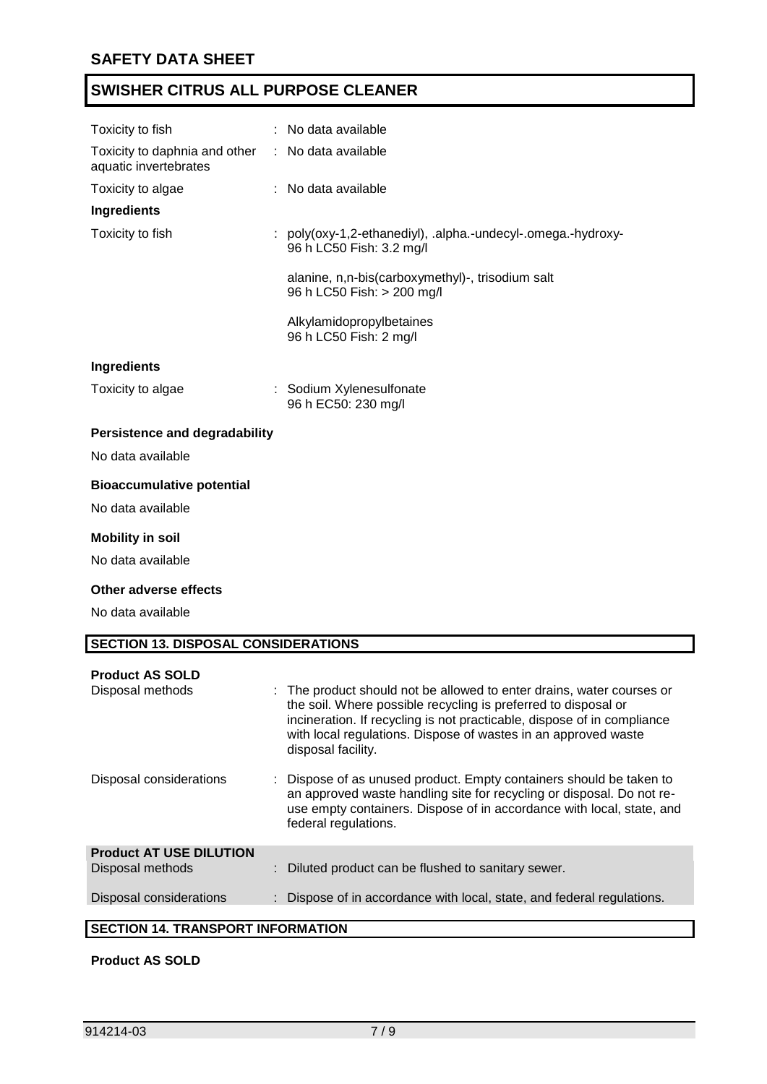| Toxicity to fish                                       | : No data available                                                                      |  |  |
|--------------------------------------------------------|------------------------------------------------------------------------------------------|--|--|
| Toxicity to daphnia and other<br>aquatic invertebrates | : No data available                                                                      |  |  |
| Toxicity to algae                                      | : No data available                                                                      |  |  |
| <b>Ingredients</b>                                     |                                                                                          |  |  |
| Toxicity to fish                                       | : poly(oxy-1,2-ethanediyl), .alpha.-undecyl-.omega.-hydroxy-<br>96 h LC50 Fish: 3.2 mg/l |  |  |
|                                                        | alanine, n,n-bis(carboxymethyl)-, trisodium salt<br>96 h LC50 Fish: > 200 mg/l           |  |  |
|                                                        | Alkylamidopropylbetaines<br>96 h LC50 Fish: 2 mg/l                                       |  |  |
| Ingredients                                            |                                                                                          |  |  |
| Toxicity to algae                                      | : Sodium Xylenesulfonate<br>96 h EC50: 230 mg/l                                          |  |  |
| <b>Persistence and degradability</b>                   |                                                                                          |  |  |
| No data available                                      |                                                                                          |  |  |
| <b>Bioaccumulative potential</b>                       |                                                                                          |  |  |
| No data available                                      |                                                                                          |  |  |
| <b>Mobility in soil</b>                                |                                                                                          |  |  |
| No data available                                      |                                                                                          |  |  |
| <b>Other adverse effects</b>                           |                                                                                          |  |  |
| No data available                                      |                                                                                          |  |  |
| <b>SECTION 13. DISPOSAL CONSIDERATIONS</b>             |                                                                                          |  |  |
| <b>Product AS SOLD</b><br>Dienoegl mathode             | The product should not be allowed to enter drains, water course                          |  |  |

| Disposal methods                        | : The product should not be allowed to enter drains, water courses or<br>the soil. Where possible recycling is preferred to disposal or<br>incineration. If recycling is not practicable, dispose of in compliance<br>with local regulations. Dispose of wastes in an approved waste<br>disposal facility. |  |  |  |  |  |
|-----------------------------------------|------------------------------------------------------------------------------------------------------------------------------------------------------------------------------------------------------------------------------------------------------------------------------------------------------------|--|--|--|--|--|
| Disposal considerations                 | : Dispose of as unused product. Empty containers should be taken to<br>an approved waste handling site for recycling or disposal. Do not re-<br>use empty containers. Dispose of in accordance with local, state, and<br>federal regulations.                                                              |  |  |  |  |  |
| <b>Product AT USE DILUTION</b>          |                                                                                                                                                                                                                                                                                                            |  |  |  |  |  |
| Disposal methods                        | : Diluted product can be flushed to sanitary sewer.                                                                                                                                                                                                                                                        |  |  |  |  |  |
| Disposal considerations                 | : Dispose of in accordance with local, state, and federal regulations.                                                                                                                                                                                                                                     |  |  |  |  |  |
|                                         |                                                                                                                                                                                                                                                                                                            |  |  |  |  |  |
| <b>CECTION 44 TRANCRODT INFORMATION</b> |                                                                                                                                                                                                                                                                                                            |  |  |  |  |  |

### **SECTION 14. TRANSPORT INFORMATION**

### **Product AS SOLD**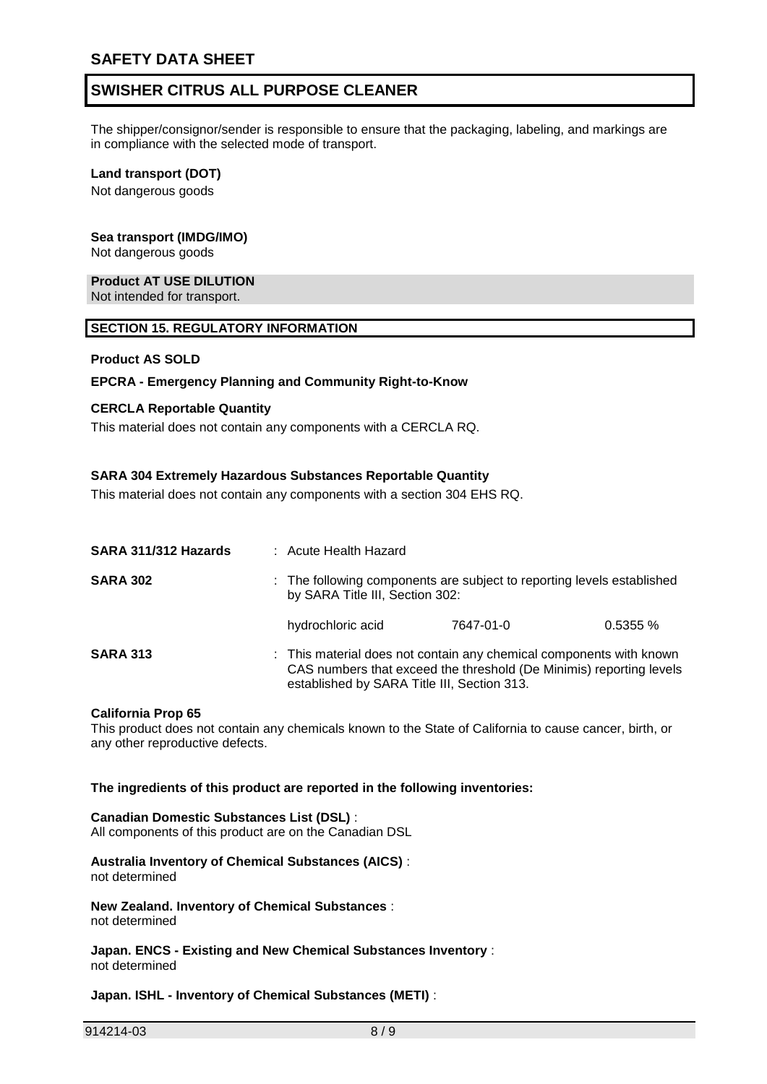The shipper/consignor/sender is responsible to ensure that the packaging, labeling, and markings are in compliance with the selected mode of transport.

### **Land transport (DOT)**

Not dangerous goods

## **Sea transport (IMDG/IMO)**

Not dangerous goods

# **Product AT USE DILUTION**

Not intended for transport.

### **SECTION 15. REGULATORY INFORMATION**

### **Product AS SOLD**

### **EPCRA - Emergency Planning and Community Right-to-Know**

### **CERCLA Reportable Quantity**

This material does not contain any components with a CERCLA RQ.

### **SARA 304 Extremely Hazardous Substances Reportable Quantity**

This material does not contain any components with a section 304 EHS RQ.

| SARA 311/312 Hazards | : Acute Health Hazard                                                                                                                                                                     |           |         |  |
|----------------------|-------------------------------------------------------------------------------------------------------------------------------------------------------------------------------------------|-----------|---------|--|
| <b>SARA 302</b>      | : The following components are subject to reporting levels established<br>by SARA Title III, Section 302:                                                                                 |           |         |  |
|                      | hydrochloric acid                                                                                                                                                                         | 7647-01-0 | 0.5355% |  |
| <b>SARA 313</b>      | : This material does not contain any chemical components with known<br>CAS numbers that exceed the threshold (De Minimis) reporting levels<br>established by SARA Title III, Section 313. |           |         |  |

#### **California Prop 65**

This product does not contain any chemicals known to the State of California to cause cancer, birth, or any other reproductive defects.

#### **The ingredients of this product are reported in the following inventories:**

#### **Canadian Domestic Substances List (DSL)** :

All components of this product are on the Canadian DSL

#### **Australia Inventory of Chemical Substances (AICS)** : not determined

**New Zealand. Inventory of Chemical Substances** : not determined

**Japan. ENCS - Existing and New Chemical Substances Inventory** : not determined

### **Japan. ISHL - Inventory of Chemical Substances (METI)** :